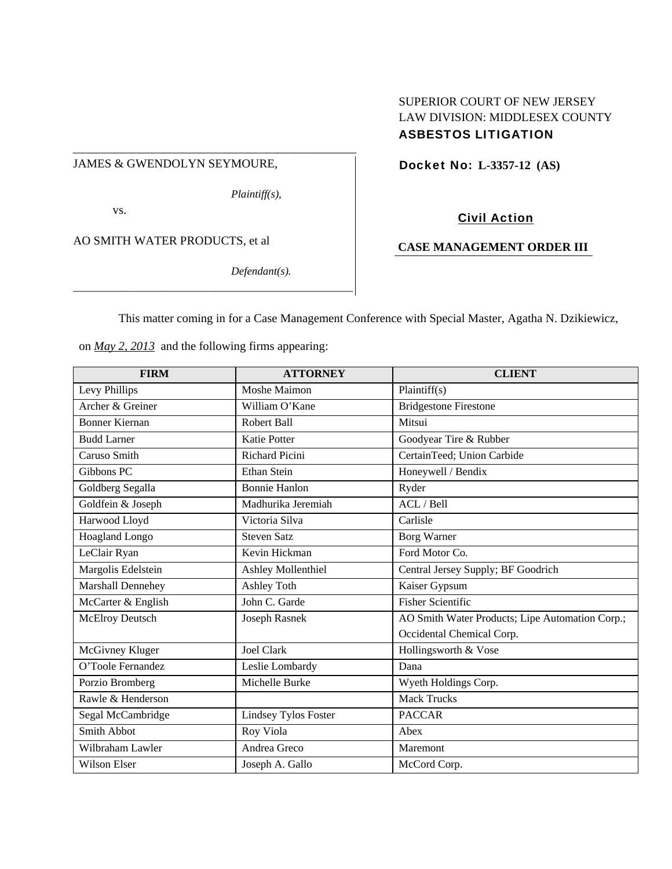#### JAMES & GWENDOLYN SEYMOURE,

*Plaintiff(s),* 

\_\_\_\_\_\_\_\_\_\_\_\_\_\_\_\_\_\_\_\_\_\_\_\_\_\_\_\_\_\_\_\_\_\_\_\_\_\_\_\_\_\_\_\_\_\_\_

vs.

AO SMITH WATER PRODUCTS, et al

*Defendant(s).* 

## SUPERIOR COURT OF NEW JERSEY LAW DIVISION: MIDDLESEX COUNTY ASBESTOS LITIGATION

Docket No: **L-3357-12 (AS)** 

## Civil Action

## **CASE MANAGEMENT ORDER III**

This matter coming in for a Case Management Conference with Special Master, Agatha N. Dzikiewicz,

on *May 2, 2013* and the following firms appearing:

*\_\_\_\_\_\_\_\_\_\_\_\_\_\_\_\_\_\_\_\_\_\_\_\_\_\_\_\_\_\_\_\_\_\_\_\_\_\_\_\_\_\_\_\_\_\_\_\_\_\_\_*

| <b>FIRM</b>              | <b>ATTORNEY</b>             | <b>CLIENT</b>                                   |
|--------------------------|-----------------------------|-------------------------------------------------|
| Levy Phillips            | Moshe Maimon                | Plaintiff(s)                                    |
| Archer & Greiner         | William O'Kane              | <b>Bridgestone Firestone</b>                    |
| <b>Bonner Kiernan</b>    | <b>Robert Ball</b>          | Mitsui                                          |
| <b>Budd Larner</b>       | <b>Katie Potter</b>         | Goodyear Tire & Rubber                          |
| Caruso Smith             | Richard Picini              | CertainTeed; Union Carbide                      |
| Gibbons PC               | <b>Ethan Stein</b>          | Honeywell / Bendix                              |
| Goldberg Segalla         | <b>Bonnie Hanlon</b>        | Ryder                                           |
| Goldfein & Joseph        | Madhurika Jeremiah          | ACL / Bell                                      |
| Harwood Lloyd            | Victoria Silva              | Carlisle                                        |
| Hoagland Longo           | <b>Steven Satz</b>          | <b>Borg Warner</b>                              |
| LeClair Ryan             | Kevin Hickman               | Ford Motor Co.                                  |
| Margolis Edelstein       | <b>Ashley Mollenthiel</b>   | Central Jersey Supply; BF Goodrich              |
| <b>Marshall Dennehey</b> | <b>Ashley Toth</b>          | Kaiser Gypsum                                   |
| McCarter & English       | John C. Garde               | <b>Fisher Scientific</b>                        |
| McElroy Deutsch          | Joseph Rasnek               | AO Smith Water Products; Lipe Automation Corp.; |
|                          |                             | Occidental Chemical Corp.                       |
| McGivney Kluger          | <b>Joel Clark</b>           | Hollingsworth & Vose                            |
| O'Toole Fernandez        | Leslie Lombardy             | Dana                                            |
| Porzio Bromberg          | Michelle Burke              | Wyeth Holdings Corp.                            |
| Rawle & Henderson        |                             | <b>Mack Trucks</b>                              |
| Segal McCambridge        | <b>Lindsey Tylos Foster</b> | <b>PACCAR</b>                                   |
| Smith Abbot              | Roy Viola                   | Abex                                            |
| Wilbraham Lawler         | Andrea Greco                | Maremont                                        |
| Wilson Elser             | Joseph A. Gallo             | McCord Corp.                                    |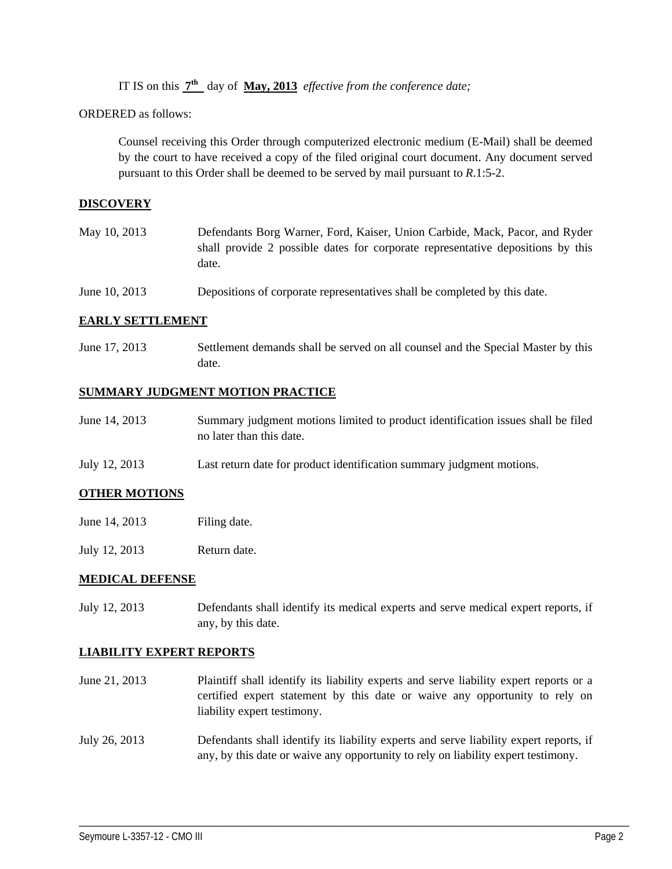IT IS on this **7th** day of **May, 2013** *effective from the conference date;*

ORDERED as follows:

Counsel receiving this Order through computerized electronic medium (E-Mail) shall be deemed by the court to have received a copy of the filed original court document. Any document served pursuant to this Order shall be deemed to be served by mail pursuant to *R*.1:5-2.

#### **DISCOVERY**

| May 10, 2013 | Defendants Borg Warner, Ford, Kaiser, Union Carbide, Mack, Pacor, and Ryder     |
|--------------|---------------------------------------------------------------------------------|
|              | shall provide 2 possible dates for corporate representative depositions by this |
|              | date.                                                                           |

June 10, 2013 Depositions of corporate representatives shall be completed by this date.

#### **EARLY SETTLEMENT**

June 17, 2013 Settlement demands shall be served on all counsel and the Special Master by this date.

#### **SUMMARY JUDGMENT MOTION PRACTICE**

| June 14, 2013 | Summary judgment motions limited to product identification issues shall be filed |
|---------------|----------------------------------------------------------------------------------|
|               | no later than this date.                                                         |

July 12, 2013 Last return date for product identification summary judgment motions.

#### **OTHER MOTIONS**

- June 14, 2013 Filing date.
- July 12, 2013 Return date.

#### **MEDICAL DEFENSE**

July 12, 2013 Defendants shall identify its medical experts and serve medical expert reports, if any, by this date.

#### **LIABILITY EXPERT REPORTS**

- June 21, 2013 Plaintiff shall identify its liability experts and serve liability expert reports or a certified expert statement by this date or waive any opportunity to rely on liability expert testimony.
- July 26, 2013 Defendants shall identify its liability experts and serve liability expert reports, if any, by this date or waive any opportunity to rely on liability expert testimony.

\_\_\_\_\_\_\_\_\_\_\_\_\_\_\_\_\_\_\_\_\_\_\_\_\_\_\_\_\_\_\_\_\_\_\_\_\_\_\_\_\_\_\_\_\_\_\_\_\_\_\_\_\_\_\_\_\_\_\_\_\_\_\_\_\_\_\_\_\_\_\_\_\_\_\_\_\_\_\_\_\_\_\_\_\_\_\_\_\_\_\_\_\_\_\_\_\_\_\_\_\_\_\_\_\_\_\_\_\_\_